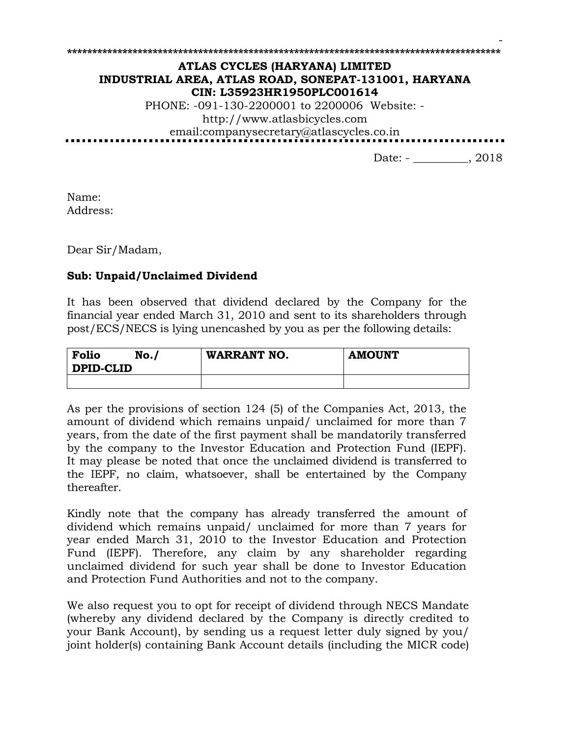# **ATLAS CYCLES (HARYANA) LIMITED INDUSTRIAL AREA, ATLAS ROAD, SONEPAT-131001, HARYANA CIN: L35923HR1950PLC001614**

**\*\*\*\*\*\*\*\*\*\*\*\*\*\*\*\*\*\*\*\*\*\*\*\*\*\*\*\*\*\*\*\*\*\*\*\*\*\*\*\*\*\*\*\*\*\*\*\*\*\*\*\*\*\*\*\*\*\*\*\*\*\*\*\*\*\*\*\*\*\*\*\*\*\*\*\*\*\*\*\*\*\*\*\*\*\***

PHONE: -091-130-2200001 to 2200006 Website: http://www.atlasbicycles.com email:companysecretary@atlascycles.co.in

Date: - \_\_\_\_\_\_\_\_, 2018

-

Name: Address:

Dear Sir/Madam,

## **Sub: Unpaid/Unclaimed Dividend**

It has been observed that dividend declared by the Company for the financial year ended March 31, 2010 and sent to its shareholders through post/ECS/NECS is lying unencashed by you as per the following details:

| Folio<br><b>DPID-CLID</b> | No. | <b>WARRANT NO.</b> | <b>AMOUNT</b> |
|---------------------------|-----|--------------------|---------------|
|                           |     |                    |               |

As per the provisions of section 124 (5) of the Companies Act, 2013, the amount of dividend which remains unpaid/ unclaimed for more than 7 years, from the date of the first payment shall be mandatorily transferred by the company to the Investor Education and Protection Fund (IEPF). It may please be noted that once the unclaimed dividend is transferred to the IEPF, no claim, whatsoever, shall be entertained by the Company thereafter.

Kindly note that the company has already transferred the amount of dividend which remains unpaid/ unclaimed for more than 7 years for year ended March 31, 2010 to the Investor Education and Protection Fund (IEPF). Therefore, any claim by any shareholder regarding unclaimed dividend for such year shall be done to Investor Education and Protection Fund Authorities and not to the company.

We also request you to opt for receipt of dividend through NECS Mandate (whereby any dividend declared by the Company is directly credited to your Bank Account), by sending us a request letter duly signed by you/ joint holder(s) containing Bank Account details (including the MICR code)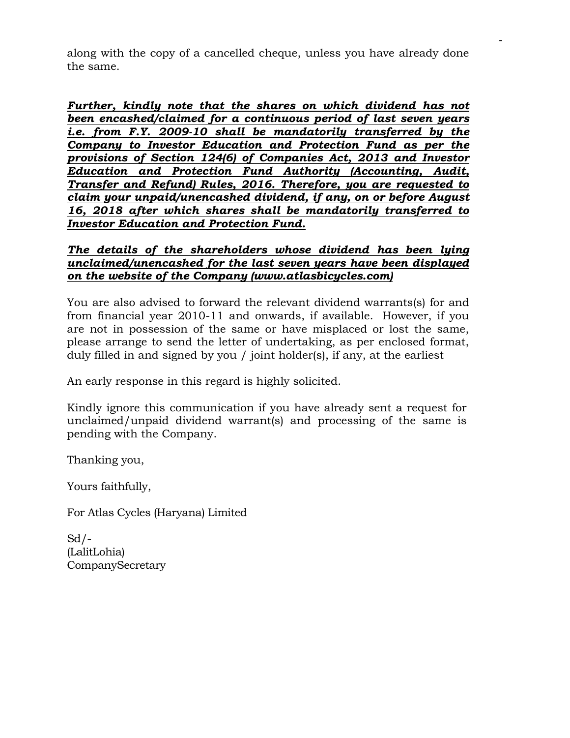along with the copy of a cancelled cheque, unless you have already done the same.

-

*Further, kindly note that the shares on which dividend has not been encashed/claimed for a continuous period of last seven years i.e. from F.Y. 2009-10 shall be mandatorily transferred by the Company to Investor Education and Protection Fund as per the provisions of Section 124(6) of Companies Act, 2013 and Investor Education and Protection Fund Authority (Accounting, Audit, Transfer and Refund) Rules, 2016. Therefore, you are requested to claim your unpaid/unencashed dividend, if any, on or before August 16, 2018 after which shares shall be mandatorily transferred to Investor Education and Protection Fund.*

## *The details of the shareholders whose dividend has been lying unclaimed/unencashed for the last seven years have been displayed on the website of the Company (www.atlasbicycles.com)*

You are also advised to forward the relevant dividend warrants(s) for and from financial year 2010-11 and onwards, if available. However, if you are not in possession of the same or have misplaced or lost the same, please arrange to send the letter of undertaking, as per enclosed format, duly filled in and signed by you / joint holder(s), if any, at the earliest

An early response in this regard is highly solicited.

Kindly ignore this communication if you have already sent a request for unclaimed/unpaid dividend warrant(s) and processing of the same is pending with the Company.

Thanking you,

Yours faithfully,

For Atlas Cycles (Haryana) Limited

 $Sd$  /-(LalitLohia) CompanySecretary